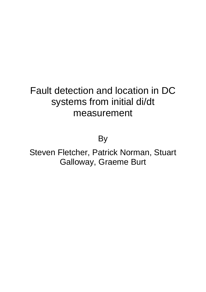# Fault detection and location in DC systems from initial di/dt measurement

By

Steven Fletcher, Patrick Norman, Stuart Galloway, Graeme Burt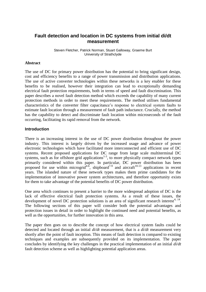## **Fault detection and location in DC systems from initial di/dt measurement**

Steven Fletcher, Patrick Norman, Stuart Galloway, Graeme Burt University of Strathclyde

#### **Abstract**

The use of DC for primary power distribution has the potential to bring significant design, cost and efficiency benefits to a range of power transmission and distribution applications. The use of active converter technologies within these networks is a key enabler for these benefits to be realised, however their integration can lead to exceptionally demanding electrical fault protection requirements, both in terms of speed and fault discrimination. This paper describes a novel fault detection method which exceeds the capability of many current protection methods in order to meet these requirements. The method utilises fundamental characteristics of the converter filter capacitance's response to electrical system faults to estimate fault location through a measurement of fault path inductance. Crucially, the method has the capability to detect and discriminate fault location within microseconds of the fault occurring, facilitating its rapid removal from the network.

#### **Introduction**

There is an increasing interest in the use of DC power distribution throughout the power industry. This interest is largely driven by the increased usage and advance of power electronic technologies which have facilitated more interconnected and efficient use of DC systems. Recent proposed applications for DC range from large scale multiterminal DC systems, such as for offshore grid applications<sup>1-3</sup>, to more physically compact network types primarily considered within this paper. In particular, DC power distribution has been proposed for use within microgrid<sup>4-6</sup>, shipboard<sup>7-9</sup> and aircraft<sup>10-13</sup> applications in recent years. The islanded nature of these network types makes them prime candidates for the implementation of innovative power system architectures, and therefore opportunity exists for them to take advantage of the potential benefits of DC power distribution.

One area which continues to present a barrier to the more widespread adoption of DC is the lack of effective electrical fault protection systems. As a result of these issues, the development of novel DC protection solutions is an area of significant research interest<sup>4, 14</sup>. The following sections of this paper will consider both the potential advantages and protection issues in detail in order to highlight the continued need and potential benefits, as well as the opportunities, for further innovation in this area.

The paper then goes on to describe the concept of how electrical system faults could be detected and located through an initial *di/dt* measurement, that is a *di/dt* measurement very shortly after the point of fault inception. This means of fault detection is compared to existing techniques and examples are subsequently provided on its implementation. The paper concludes by identifying the key challenges in the practical implementation of an initial *di/dt* fault detection scheme as well as highlighting potential application areas.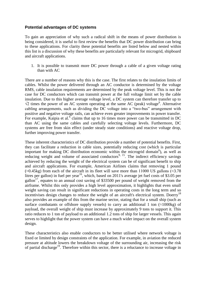## **Potential advantages of DC systems**

To gain an appreciation of why such a radical shift in the means of power distribution is being considered, it is useful to first review the benefits that DC power distribution can bring to these applications. For clarity these potential benefits are listed below and nested within this list is a discussion of why these benefits are particularly relevant for microgrid, shipboard and aircraft applications.

1. It is possible to transmit more DC power through a cable of a given voltage rating than with AC

There are a number of reasons why this is the case. The first relates to the insulation limits of cables. Whilst the power delivered through an AC conductor is determined by the voltage RMS, cable insulation requirements are determined by the peak voltage level. This is not the case for DC conductors which can transmit power at the full voltage limit set by the cable insulation. Due to this higher average voltage level, a DC system can therefore transfer up to  $\sqrt{2}$  times the power of an AC system operating at the same AC (peak) voltage<sup>9</sup>. Alternative cabling arrangements, such as dividing the DC voltage into a "two-bus" arrangement with positive and negative voltage rails, can achieve even greater improvements in power transfer. For example, Kaipia et al.  $\overline{6}$  claims that up to 16 times more power can be transmitted in DC than AC using the same cables and carefully selecting voltage levels. Furthermore, DC systems are free from skin effect (under steady state conditions) and reactive voltage drop, further improving power transfer.

These inherent characteristics of DC distribution provide a number of potential benefits. First, they can facilitate a reduction in cable sizes, potentially reducing cost (which is particular important for making DC distribution economic within the microgrid domain<sup>6</sup>), as well as reducing weight and volume of associated conductors<sup>9, 15</sup>. The indirect efficiency savings achieved by reducing the weight of the electrical system can be of significant benefit to ship and aircraft applications. For example, American Airlines claims that removing 1 pound  $(\approx 0.45 \text{kg})$  from each of the aircraft in its fleet will save more than 11000 US gallons ( $\approx 3.78$ ) litres per gallon) in fuel per year<sup>16</sup>, which, based on 2011's average jet fuel costs of \$3.05 per gallon<sup>17</sup>, equates to an annual cost saving of \$33500 per pound of weight removed from the airframe. Whilst this only provides a high level approximation, it highlights that even small weight saving can result in significant reductions in operating costs in the long term and so incentivises design changes to reduce the weight of an aircraft's electrical system. Doerry<sup>18</sup> also provides an example of this from the marine sector, stating that for a small ship (such as surface combatants or offshore supply vessels) to carry an additional 1 ton  $(\approx 1000 \text{kg})$  of payload, the overall weight of ship must increase by approximately 9 tons to support it. This ratio reduces to 1 ton of payload to an additional 1.2 tons of ship for larger vessels. This again serves to highlight that the power system can have a much wider impact on the overall system design.

These characteristics also enable conductors to be better utilised where network voltage is fixed or limited by design constraints of the application. For example, in aviation the reduced pressure at altitude lowers the breakdown voltage of the surrounding air, increasing the risk of partial discharge<sup>19</sup>. Therefore within this sector, there is a reluctance to increase voltage in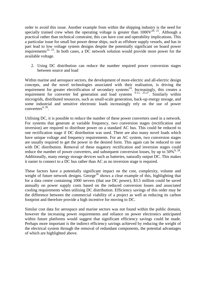order to avoid this issue. Another example from within the shipping industry is the need for specially trained crew when the operating voltage is greater than  $1000V^{20, 21}$ . Although a practical rather than technical constraint, this can have cost and operability implications. This a particular issue for small but power dense ships, such as offshore supply vessels, and has in part lead to low voltage system designs despite the potentially significant on board power requirements<sup>22, 23</sup>. In both cases, a DC network solution would provide more power for the available voltage.

2. Using DC distribution can reduce the number required power conversion stages between source and load

Within marine and aerospace sectors, the development of more-electric and all-electric design concepts, and the novel technologies associated with their realisation, is driving the requirement for greater electrification of secondary systems<sup>24</sup>. Increasingly, this creates a requirement for converter fed generation and load systems  $9-11$ ,  $25-27$ . Similarly within microgrids, distributed resources, such as small-scale generation, back-up energy storage, and some industrial and sensitive electronic loads increasingly rely on the use of power  $converters<sup>4, 28</sup>$ .

Utilising DC, it is possible to reduce the number of these power converters used in a network. For systems that generate at variable frequency, two conversion stages (rectification and inversion) are required to distribute power on a standard AC bus. This could be reduced to one rectification stage if DC distribution was used. There are also many novel loads which have unique voltage and frequency requirements. For an AC system, two conversion stages are usually required to get the power in the desired form. This again can be reduced to one with DC distribution. Removal of these nugatory rectification and inversion stages could reduce the number of power converters, and subsequent conversion losses, by up to  $50\%^{9,28}$ . Additionally, many energy storage devices such as batteries, naturally output DC. This makes it easier to connect to a DC bus rather than AC as no inversion stage is required.

These factors have a potentially significant impact on the cost, complexity, volume and weight of future network designs. George<sup>28</sup> shows a clear example of this, highlighting that for a data centre containing 1000 servers (that use DC power), \$3.5 million could be saved annually on power supply costs based on the reduced conversion losses and associated cooling requirements when utilising DC distribution. Efficiency savings of this order may be the difference between the commercial viability of a project as well as reducing its carbon footprint and therefore provide a high incentive for moving to DC.

Similar cost data for aerospace and marine sectors was not found within the public domain, however the increasing power requirements and reliance on power electronics anticipated within future platforms would suggest that significant efficiency savings could be made. Perhaps more important is the indirect efficiency savings achieved by reducing the weight of the electrical system through the removal of redundant components, the potential advantages of which are highlighted above.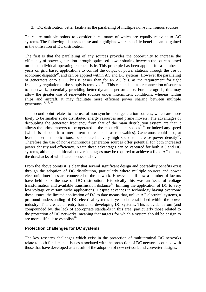3. DC distribution better facilitates the paralleling of multiple non-synchronous sources

There are multiple points to consider here, many of which are equally relevant to AC systems. The following discusses these and highlights where specific benefits can be gained in the utilisation of DC distribution.

The first is that the paralleling of any sources provides the opportunity to increase the efficiency of power generation through optimised power sharing between the sources based on their individual operating characteristic. This principle has been applied for a number of years on grid based applications to control the output of power stations through the use of economic dispatch<sup>29</sup>, and can be applied within AC and DC systems. However the paralleling of generators onto a DC bus is easier than for an AC bus, as the requirement for tight frequency regulation of the supply is removed<sup>30</sup>. This can enable faster connection of sources to a network, potentially providing better dynamic performance. For microgrids, this may allow the greater use of renewable sources under intermittent conditions, whereas within ships and aircraft, it may facilitate more efficient power sharing between multiple generators $^{12, 23, 31}$ .

The second point relates to the use of non-synchronous generation sources, which are more likely to be smaller scale distributed energy resources and prime movers. The advantages of decoupling the generator frequency from that of the main distribution system are that it allows the prime movers to be operated at the most efficient speeds<sup>7, 9</sup>, or indeed any speed (which is of benefit to intermittent sources such as renewables). Generators could also, at least in certain applications, be operated at very high speed to increase power density<sup>32</sup>. Therefore the use of non-synchronous generation sources offer potential for both increased power density and efficiency. Again these advantages can be captured for both AC and DC systems, although additional conversion stages may be required to achieve a fixed AC output, the drawbacks of which are discussed above.

From the above points it is clear that several significant design and operability benefits exist through the adoption of DC distribution, particularly where multiple sources and power electronic interfaces are connected to the network. However until now a number of factors have held back the use of DC distribution. Historically this was an issue of voltage transformation and available transmission distance<sup>33</sup>, limiting the application of DC to very low voltage or certain niche applications. Despite advances in technology having overcome these issues, the limited application of DC to date means that, unlike AC electrical systems, a profound understanding of DC electrical systems is yet to be established within the power industry. This creates an entry barrier to developing DC systems. This is evident from (and compounded by) the lack of appropriate standards in this area, particularly those related to the protection of DC networks, meaning that targets for which a system should be design to are more difficult to establish $^{28}$ .

## **Protection challenges for DC systems**

The key research challenges which exist in the protection of multiterminal DC networks relate to both fundamental issues associated with the protection of DC networks coupled with those that have developed as a result of the adoption of new network and converter designs.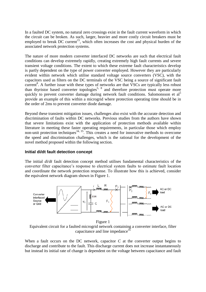In a faulted DC system, no natural zero crossings exist in the fault current waveform in which the circuit can be broken. As such, larger, heavier and more costly circuit breakers must be employed to break DC current<sup>15</sup>, which often increases the cost and physical burden of the associated network protection systems.

The nature of more modern converter interfaced DC networks are such that electrical fault conditions can develop extremely rapidly, creating extremely high fault currents and severe transient voltage conditions. The extent to which these extreme fault characteristics develop is partly dependent on the type of power converter employed. However they are particularly evident within network which utilise standard voltage source converters (VSC), with the capacitors used as filters on the DC terminals of the VSC being a source of significant fault current<sup>8</sup>. A further issue with these types of networks are that VSCs are typically less robust than thyristor based converter topologies<sup>5, 8</sup> and therefore protection must operate more quickly to prevent converter damage during network fault conditions. Salomonsson et al<sup>5</sup> provide an example of this within a microgrid where protection operating time should be in the order of 2ms to prevent converter diode damage.

Beyond these transient mitigation issues, challenges also exist with the accurate detection and discrimination of faults within DC networks. Previous studies from the authors have shown that severe limitations exist with the application of protection methods available within literature in meeting these faster operating requirements, in particular those which employ non-unit protection techniques<sup>34, 35</sup>. This creates a need for innovative methods to overcome the speed and discrimination challenges, which is the rational for the development of the novel method proposed within the following section.

## **Initial di/dt fault detection concept**

The initial *di/dt* fault detection concept method utilises fundamental characteristics of the converter filter capacitance's response to electrical system faults to estimate fault location and coordinate the network protection response. To illustrate how this is achieved, consider the equivalent network diagram shown in Figure 1.



Equivalent circuit for a faulted microgrid network containing a converter interface, filter capacitance and line impedance  $35$ 

When a fault occurs on the DC network, capacitor *C* at the converter output begins to discharge and contribute to the fault. This discharge current does not increase instantaneously but instead its initial rate of change is dependent on the voltage between capacitance and fault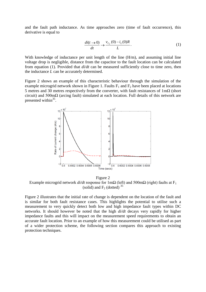and the fault path inductance. As time approaches zero (time of fault occurrence), this derivative is equal to

$$
\frac{di(t \to 0)}{dt} \to \frac{v_{C_F}(0) - i_L(0)R}{L}.
$$
 (1)

With knowledge of inductance per unit length of the line (H/m), and assuming initial line voltage drop is negligible, distance from the capacitor to the fault location can be calculated from equation (1). Provided that *di/dt* can be measured sufficiently close to time zero, then the inductance *L* can be accurately determined.

Figure 2 shows an example of this characteristic behaviour through the simulation of the example microgrid network shown in Figure 1. Faults  $F_1$  and  $F_2$  have been placed at locations 5 metres and 30 metres respectively from the converter, with fault resistances of  $1 \text{ m}\Omega$  (short circuit) and  $500 \text{m}\Omega$  (arcing fault) simulated at each location. Full details of this network are presented within<sup>35</sup>.



Figure 2 Example microgrid network  $di/dt$  response for 1m $\Omega$  (left) and 500m $\Omega$  (right) faults at F<sub>1</sub> (solid) and  $F_2$  (dotted)  $35$ 

Figure 2 illustrates that the initial rate of change is dependent on the location of the fault and is similar for both fault resistance cases. This highlights the potential to utilise such a measurement to very quickly detect both low and high impedance fault types within DC networks. It should however be noted that the high *di/dt* decays very rapidly for higher impedance faults and this will impact on the measurement speed requirements to obtain an accurate fault location. Prior to an example of how this measurement could be utilised as part of a wider protection scheme, the following section compares this approach to existing protection techniques.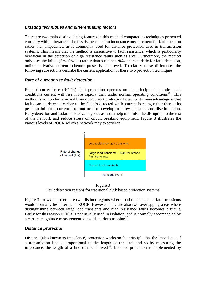## *Existing techniques and differentiating factors*

There are two main distinguishing features in this method compared to techniques presented currently within literature. The first is the use of an inductance measurement for fault location rather than impedance, as is commonly used for distance protection used in transmission systems. This means that the method is insensitive to fault resistance, which is particularly beneficial in the detection of high resistance faults such as arcs. Furthermore, the method only uses the initial (first few µs) rather than sustained *di/dt* characteristic for fault detection, unlike derivative current schemes presently employed. To clarify these differences the following subsections describe the current application of these two protection techniques.

## *Rate of current rise fault detection.*

Rate of current rise (ROCR) fault protection operates on the principle that under fault conditions current will rise more rapidly than under normal operating conditions<sup>36</sup>. This method is not too far removed from overcurrent protection however its main advantage is that faults can be detected earlier as the fault is detected while current is rising rather than at its peak, so full fault current does not need to develop to allow detection and discrimination. Early detection and isolation is advantageous as it can help minimise the disruption to the rest of the network and reduce stress on circuit breaking equipment. Figure 3 illustrates the various levels of ROCR which a network may experience.



Figure 3 Fault detection regions for traditional *di/dt* based protection systems

Figure 3 shows that there are two distinct regions where load transients and fault transients would normally lie in terms of ROCR. However there are also two overlapping areas where distinguishing between large load transients and high resistance faults becomes difficult. Partly for this reason ROCR is not usually used in isolation, and is normally accompanied by a current magnitude measurement to avoid spurious tripping $3^7$ .

## *Distance protection.*

Distance (also known as impedance) protection works on the principle that the impedance of a transmission line is proportional to the length of the line, and so by measuring the impedance, the length of a line can be derived  $\overline{d}^{38}$ . Distance protection is implemented by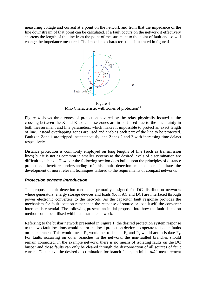measuring voltage and current at a point on the network and from that the impedance of the line downstream of that point can be calculated. If a fault occurs on the network it effectively shortens the length of the line from the point of measurement to the point of fault and so will change the impedance measured. The impedance characteristic is illustrated in figure 4.



Figure 4 Mho Characteristic with zones of protection<sup>38</sup>

Figure 4 shows three zones of protection covered by the relay physically located at the crossing between the X and R axis. These zones are in part used due to the uncertainty in both measurement and line parameters, which makes it impossible to protect an exact length of line. Instead overlapping zones are used and enables each part of the line to be protected. Faults in Zone 1 are tripped instantaneously, and Zones 2 and 3 with increasing time delays respectively.

Distance protection is commonly employed on long lengths of line (such as transmission lines) but it is not as common in smaller systems as the desired levels of discrimination are difficult to achieve. However the following section does build upon the principles of distance protection, therefore understanding of this fault detection method can facilitate the development of more relevant techniques tailored to the requirements of compact networks.

## *Protection scheme introduction*

The proposed fault detection method is primarily designed for DC distribution networks where generators, energy storage devices and loads (both AC and DC) are interfaced through power electronic converters to the network. As the capacitor fault response provides the mechanism for fault location rather than the response of source or load itself, the converter interface is essential. The following presents an initial proposal into how the fault detection method could be utilised within an example network.

Referring to the busbar network presented in Figure 1, the desired protection system response to the two fault locations would be for the local protection devices to operate to isolate faults on their branch. This would mean  $P_1$  would act to isolate  $F_1$  and  $P_2$  would act to isolate  $F_2$ . For faults occurring on other branches in the network, the non-faulted branches should remain connected. In the example network, there is no means of isolating faults on the DC busbar and these faults can only be cleared through the disconnection of all sources of fault current. To achieve the desired discrimination for branch faults, an initial *di/dt* measurement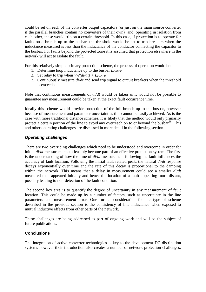could be set on each of the converter output capacitors (or just on the main source converter if the parallel branches contain no converters of their own) and, operating in isolation from each other, these would trip on a certain threshold. In this case, if protection is to operate for faults on a branch up to the busbar, the threshold would be set to trip breakers when the inductance measured is less than the inductance of the conductor connecting the capacitor to the busbar. For faults beyond the protected zone it is assumed that protection elsewhere in the network will act to isolate the fault.

For this relatively simple primary protection scheme, the process of operation would be:

- 1. Determine loop inductance up to the busbar *LCABLE*
- 2. Set relay to trip when  $V_C/di/dt$  <  $L_{CABLE}$
- 3. Continuously measure *di/dt* and send trip signal to circuit breakers when the threshold is exceeded.

Note that continuous measurements of *di/dt* would be taken as it would not be possible to guarantee any measurement could be taken at the exact fault occurrence time.

Ideally this scheme would provide protection of the full branch up to the busbar, however because of measurement and parameter uncertainties this cannot be easily achieved. As is the case with more traditional distance schemes, it is likely that the method would only primarily protect a certain portion of the line to avoid any overreach on to or beyond the busbar<sup>38</sup>. This and other operating challenges are discussed in more detail in the following section.

## *Operating challenges*

There are two overriding challenges which need to be understood and overcome in order for initial *di/dt* measurements to feasibly become part of an effective protection system. The first is the understanding of how the time of *di/dt* measurement following the fault influences the accuracy of fault location. Following the initial fault related peak, the natural *di/dt* response decays exponentially over time and the rate of this decay is proportional to the damping within the network. This means that a delay in measurement could see a smaller *di/dt* measured than appeared initially and hence the location of a fault appearing more distant, possibly leading to non-detection of the fault condition.

The second key area is to quantify the degree of uncertainty in any measurement of fault location. This could be made up by a number of factors, such as uncertainty in the line parameters and measurement error. One further consideration for the type of scheme described in the previous section is the consistency of line inductance when exposed to mutual inductive effects from other parts of the network.

These challenges are being addressed as part of ongoing work and will be the subject of future publications.

## **Conclusions**

The integration of active converter technologies is key to the development DC distribution systems however their introduction also creates a number of network protection challenges.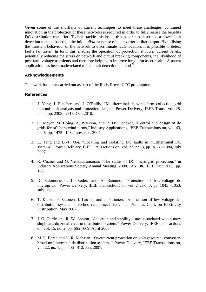Given some of the shortfalls of current techniques to meet these challenges, continued innovation in the protection of these networks is required in order to fully realise the benefits DC distribution can offer. To help tackle this issue, this paper has described a novel fault detection method based on the initial *di/dt* response of a converter's filter output. By utilising the transient behaviour of the network to discriminate fault location, it is possible to detect faults far faster. In turn, this enables the operation of protection at lower current levels, potentially reducing the stress on network and circuit breaking components, the likelihood of post fault voltage transients and therefore helping to improve long term asset health. A patent application has been made related to this fault detection method $39$ .

## **Acknowledgements**

This work has been carried out as part of the Rolls-Royce UTC programme.

#### **References**

- 1. J. Yang, J. Fletcher, and J. O'Reilly, "Multiterminal dc wind farm collection grid internal fault analysis and protection design," Power Delivery, IEEE Trans., vol. 25, no. 4, pp. 2308 –2318, Oct. 2010.
- 2. C. Meyer, M. Hoing, A. Peterson, and R. De Doncker, "Control and design of dc grids for offshore wind farms," Industry Applications, IEEE Transactions on, vol. 43, no. 6, pp. 1475 –1482, nov.-dec. 2007.
- 3. L. Tang and B.-T. Ooi, "Locating and isolating DC faults in multiterminal DC systems," Power Delivery, IEEE Transactions on, vol. 22, no. 3, pp. 1877 –1884, July 2007.
- 4. R. Cuzner and G. Venkataramanan, "The status of DC micro-grid protection," in Industry Applications Society Annual Meeting, 2008. IAS '08. IEEE, Oct. 2008, pp.  $1-8.$
- 5. D. Salomonsson, L. Soder, and A. Sannino, "Protection of low-voltage dc microgrids," Power Delivery, IEEE Transactions on, vol. 24, no. 3, pp. 1045 –1053, July 2009.
- 6. T. Kaipia, P. Salonen, J. Lassila, and J. Partanen, "Application of low voltage dcdistribution system - a techno-economical study," in 19th Int. Conf. on Electricity Distribution, May 2007.
- 7. J. G. Ciezki and R. W. Ashton, "Selection and stability issues associated with a navy shipboard dc zonal electric distribution system," Power Delivery, IEEE Transactions on, vol. 15, no. 2, pp. 665 –669, April 2000.
- 8. M. E. Baran and N. R. Mahajan, "Overcurrent protection on voltagesource- converterbased multiterminal dc distribution systems," Power Delivery, IEEE Transactions on, vol. 22, no. 1, pp. 406 –412, Jan. 2007.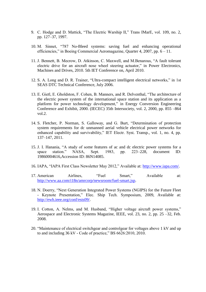- 9. C. Hodge and D. Mattick, "The Electric Warship II," Trans IMarE, vol. 109, no. 2, pp. 127–37, 1997.
- 10. M. Sinnet, "787 No-Bleed systems: saving fuel and enhancing operational efficiencies," in Boeing Commercial Aeromagazine, Quarter 4, 2007, pp. 6 – 11.
- 11. J. Bennett, B. Mecrow, D. Atkinson, C. Maxwell, and M.Benarous, "A fault tolerant electric drive for an aircraft nose wheel steering actuator," in Power Electronics, Machines and Drives, 2010. 5th IET Conference on, April 2010.
- 12. S. A. Long and D. R. Trainer, "Ultra-compact intelligent electrical networks," in 1st SEAS DTC Technical Conference, July 2006.
- 13. E. Gietl, E. Gholdston, F. Cohen, B. Manners, and R. Delventhal, "The architecture of the electric power system of the international space station and its application as a platform for power technology development," in Energy Conversion Engineering Conference and Exhibit, 2000. (IECEC) 35th Intersociety, vol. 2, 2000, pp. 855 –864 vol.2.
- 14. S. Fletcher, P. Norman, S. Galloway, and G. Burt, "Determination of protection system requirements for dc unmanned aerial vehicle electrical power networks for enhanced capability and survivability," IET Electr. Syst. Transp., vol. 1, no. 4, pp. 137–147, 2011.
- 15. J. I. Hanania, "A study of some features of ac and dc electric power systems for a space station." NASA, Sept. 1983, pp. 223–228, document ID: 19860004616,Accession ID: 86N14085.
- 16. IAPA, "IAPA First Class Newsletter May 2012," Available at: [http://www.iapa.com/.](http://www.iapa.com/)
- 17. American Airlines, "Fuel Smart," Available at: [http://www.aa.com/i18n/amrcorp/newsroom/fuel-smart.jsp.](http://www.aa.com/i18n/amrcorp/newsroom/fuel-smart.jsp)
- 18. N. Doerry, "Next Generation Integrated Power Systems (NGIPS) for the Future Fleet - Keynote Presentation," Elec. Ship Tech. Symposium, 2009, Available at: [http://ewh.ieee.org/conf/ests09/.](http://ewh.ieee.org/conf/ests09/)
- 19. I. Cotton, A. Nelms, and M. Husband, "Higher voltage aircraft power systems," Aerospace and Electronic Systems Magazine, IEEE, vol. 23, no. 2, pp. 25 –32, Feb. 2008.
- 20. "Maintenance of electrical switchgear and controlgear for voltages above 1 kV and up to and including 36 kV - Code of practice," BS 6626:2010, 2010.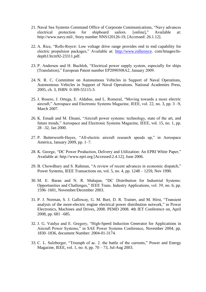- 21. Naval Sea Systems Command Office of Corporate Communications, "Navy advances electrical protection for shipboard sailors. [online]," Available at: http://www.navy.mil/, Story number NNS120126-19, [Accessed: 26.1.12].
- 22. A. Rice, "Rolls-Royce: Low voltage drive range provides end to end capability for electric propulsion packages," Available at: [http://www.rollsroyce.](http://www.rollsroyce/) com/Images/Indepth13tcm92-23311.pdf.
- 23. P. Andersen and H. Buchloh, "Electrical power supply system, especially for ships (Translation)," European Patent number EP2090508A2, January 2009.
- 24. N. R. C. Committee on Autonomous Vehicles in Support of Naval Operations, Autonomous Vehicles in Support of Naval Operations. National Academies Press, 2005, ch. 3, ISBN: 0-309-55115-3.
- 25. J. Rosero, J. Ortega, E. Aldabas, and L. Romeral, "Moving towards a more electric aircraft," Aerospace and Electronic Systems Magazine, IEEE, vol. 22, no. 3, pp. 3 –9, March 2007.
- 26. K. Emadi and M. Ehsani, "Aircraft power systems: technology, state of the art, and future trends," Aerospace and Electronic Systems Magazine, IEEE, vol. 15, no. 1, pp. 28 –32, Jan 2000.
- 27. P. Butterworth-Hayes, "All-electric aircraft research speeds up," in Aerospace America, January 2009, pp. 1–7.
- 28. K. George, "DC Power Production, Delivery and Utilization: An EPRI White Paper," Available at: http://www.epri.org [Accessed:2.4.12], June 2006.
- 29. B. Chowdhury and S. Rahman, "A review of recent advances in economic dispatch," Power Systems, IEEE Transactions on, vol. 5, no. 4, pp. 1248 – 1259, Nov 1990.
- 30. M. E. Baran and N. R. Mahajan, "DC Distribution for Industrial Systems: Opportunities and Challenges," IEEE Trans. Industry Applications, vol. 39, no. 6, pp. 1596–1601, November/December 2003.
- 31. P. J. Norman, S. J. Galloway, G. M. Burt, D. R. Trainer, and M. Hirst, "Transient analysis of the more-electric engine electrical power distribution network," in Power Electronics, Machines and Drives, 2008. PEMD 2008. 4th IET Conference on, April 2008, pp. 681 –685.
- 32. J. G. Vaidya and E. Gregory, "High-Speed Induction Generator for Applications in Aircraft Power Systems," in SAE Power Systems Conference, November 2004, pp. 1830–1836, document Number: 2004-01-3174.
- 33. C. L. Sulzberger, "Triumph of ac. 2. the battle of the currents," Power and Energy Magazine, IEEE, vol. 1, no. 4, pp. 70 – 73, Jul-Aug 2003.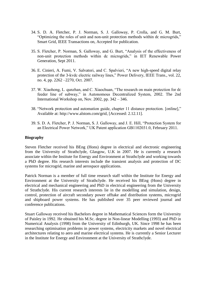- 34. S. D. A. Fletcher, P. J. Norman, S. J. Galloway, P. Crolla, and G. M. Burt, "Optimizing the roles of unit and non-unit protection methods within dc microgrids," Smart Grid, IEEE Transactions on, Accepted for publication.
- 35. S. Fletcher, P. Norman, S. Galloway, and G. Burt, "Analysis of the effectiveness of non-unit protection methods within dc microgrids," in IET Renewable Power Generation, Sept 2011.
- 36. E. Cinieri, A. Fumi, V. Salvatori, and C. Spalvieri, "A new high-speed digital relay protection of the 3-kvdc electric railway lines," Power Delivery, IEEE Trans., vol. 22, no. 4, pp. 2262 –2270, Oct. 2007.
- 37. W. Xiaohong, L. qunzhan, and C. Xiaochuan, "The research on main protection for dc feeder line of subway," in Autonomous Decentralized System, 2002. The 2nd International Workshop on, Nov. 2002, pp. 342 – 346.
- 38. "Network protection and automation guide, chapter 11 distance protection. [online]," Available at: http://www.alstom.com/grid, [Accessed: 2.12.11].
- 39. S. D. A. Fletcher, P. J. Norman, S. J. Galloway, and J. E. Hill, "Protection System for an Electrical Power Network," UK Patent application GB1102031.0, February 2011.

#### **Biography**

Steven Fletcher received his BEng (Hons) degree in electrical and electronic engineering from the University of Strathclyde, Glasgow, U.K in 2007. He is currently a research associate within the Institute for Energy and Environment at Strathclyde and working towards a PhD degree. His research interests include the transient analysis and protection of DC systems for microgrid, marine and aerospace applications.

Patrick Norman is a member of full time research staff within the Institute for Energy and Environment at the University of Strathclyde. He received his BEng (Hons) degree in electrical and mechanical engineering and PhD in electrical engineering from the University of Strathclyde. His current research interests lie in the modelling and simulation, design, control, protection of aircraft secondary power offtake and distribution systems, microgrid and shipboard power systems. He has published over 35 peer reviewed journal and conference publications.

Stuart Galloway received his Bachelors degree in Mathematical Sciences form the University of Paisley in 1992. He obtained his M.Sc. degree in Non-linear Modelling (1993) and PhD in Numerical Analysis (1998) from the University of Edinburgh, UK. Since 1998 he has been researching optimisation problems in power systems, electricity markets and novel electrical architectures relating to aero and marine electrical systems. He is currently a Senior Lecturer in the Institute for Energy and Environment at the University of Strathclyde.